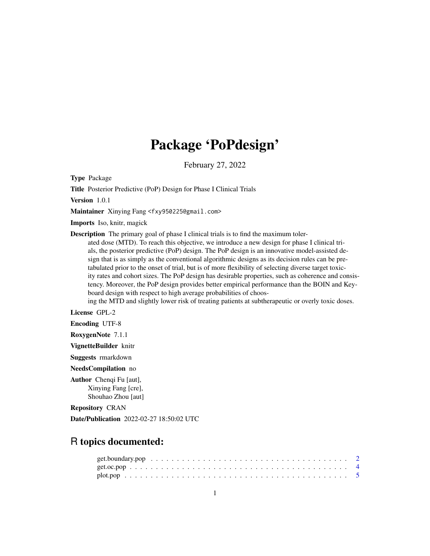# Package 'PoPdesign'

February 27, 2022

Type Package

Title Posterior Predictive (PoP) Design for Phase I Clinical Trials

Version 1.0.1

Maintainer Xinying Fang <fxy950225@gmail.com>

Imports Iso, knitr, magick

Description The primary goal of phase I clinical trials is to find the maximum toler-

ated dose (MTD). To reach this objective, we introduce a new design for phase I clinical trials, the posterior predictive (PoP) design. The PoP design is an innovative model-assisted design that is as simply as the conventional algorithmic designs as its decision rules can be pretabulated prior to the onset of trial, but is of more flexibility of selecting diverse target toxicity rates and cohort sizes. The PoP design has desirable properties, such as coherence and consistency. Moreover, the PoP design provides better empirical performance than the BOIN and Keyboard design with respect to high average probabilities of choos-

ing the MTD and slightly lower risk of treating patients at subtherapeutic or overly toxic doses.

License GPL-2

Encoding UTF-8

RoxygenNote 7.1.1

VignetteBuilder knitr

Suggests rmarkdown

NeedsCompilation no

Author Chenqi Fu [aut], Xinying Fang [cre], Shouhao Zhou [aut]

Repository CRAN

Date/Publication 2022-02-27 18:50:02 UTC

# R topics documented: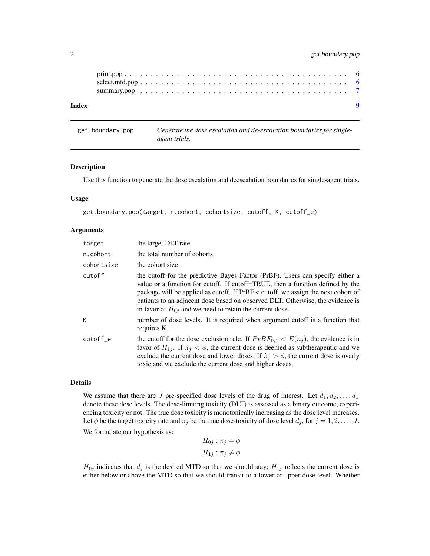<span id="page-1-0"></span>

| Index |  |  |  |  |  |  |  |  |  |  |  |  |  |  |  |  | - 0 |
|-------|--|--|--|--|--|--|--|--|--|--|--|--|--|--|--|--|-----|
|       |  |  |  |  |  |  |  |  |  |  |  |  |  |  |  |  |     |
|       |  |  |  |  |  |  |  |  |  |  |  |  |  |  |  |  |     |

get.boundary.pop *Generate the dose escalation and de-escalation boundaries for singleagent trials.*

#### Description

Use this function to generate the dose escalation and deescalation boundaries for single-agent trials.

### Usage

```
get.boundary.pop(target, n.cohort, cohortsize, cutoff, K, cutoff_e)
```
## **Arguments**

| target     | the target DLT rate                                                                                                                                                                                                                                                                                                                                                                                    |
|------------|--------------------------------------------------------------------------------------------------------------------------------------------------------------------------------------------------------------------------------------------------------------------------------------------------------------------------------------------------------------------------------------------------------|
| n.cohort   | the total number of cohorts                                                                                                                                                                                                                                                                                                                                                                            |
| cohortsize | the cohort size                                                                                                                                                                                                                                                                                                                                                                                        |
| cutoff     | the cutoff for the predictive Bayes Factor (PrBF). Users can specify either a<br>value or a function for cutoff. If cutoff=TRUE, then a function defined by the<br>package will be applied as cutoff. If PrBF < cutoff, we assign the next cohort of<br>patients to an adjacent dose based on observed DLT. Otherwise, the evidence is<br>in favor of $H_{0i}$ and we need to retain the current dose. |
| K          | number of dose levels. It is required when argument cutoff is a function that<br>requires K.                                                                                                                                                                                                                                                                                                           |
| cutoff_e   | the cutoff for the dose exclusion rule. If $PrBF_{0,1} < E(n_i)$ , the evidence is in<br>favor of $H_{1j}$ . If $\hat{\pi}_j < \phi$ , the current dose is deemed as subtherapeutic and we<br>exclude the current dose and lower doses; If $\hat{\pi}_i > \phi$ , the current dose is overly<br>toxic and we exclude the current dose and higher doses.                                                |

# Details

We assume that there are J pre-specified dose levels of the drug of interest. Let  $d_1, d_2, \ldots, d_J$ denote these dose levels. The dose-limiting toxicity (DLT) is assessed as a binary outcome, experiencing toxicity or not. The true dose toxicity is monotonically increasing as the dose level increases. Let  $\phi$  be the target toxicity rate and  $\pi_j$  be the true dose-toxicity of dose level  $d_j$ , for  $j = 1, 2, \ldots, J$ . We formulate our hypothesis as:

$$
H_{0j} : \pi_j = \phi
$$
  

$$
H_{1j} : \pi_j \neq \phi
$$

 $H_{0j}$  indicates that  $d_j$  is the desired MTD so that we should stay;  $H_{1j}$  reflects the current dose is either below or above the MTD so that we should transit to a lower or upper dose level. Whether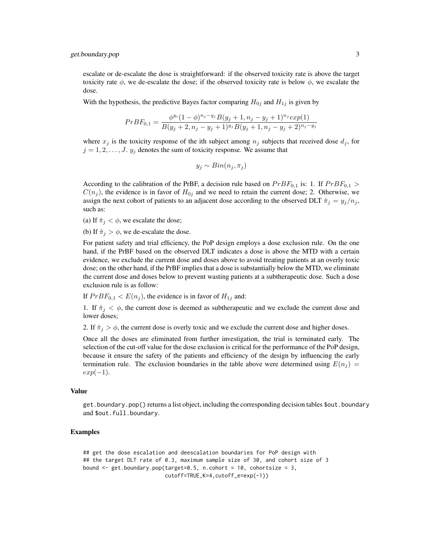escalate or de-escalate the dose is straightforward: if the observed toxicity rate is above the target toxicity rate  $\phi$ , we de-escalate the dose; if the observed toxicity rate is below  $\phi$ , we escalate the dose.

With the hypothesis, the predictive Bayes factor comparing  $H_{0j}$  and  $H_{1j}$  is given by

$$
PrBF_{0,1} = \frac{\phi^{y_i}(1-\phi)^{n_j-y_j}B(y_j+1,n_j-y_j+1)^{n_j}exp(1)}{B(y_j+2,n_j-y_j+1)^{y_j}B(y_j+1,n_j-y_j+2)^{n_j-y_j}}
$$

where  $x_j$  is the toxicity response of the ith subject among  $n_j$  subjects that received dose  $d_j$ , for  $j = 1, 2, \dots, J$ .  $y_j$  denotes the sum of toxicity response. We assume that

$$
y_j \sim Bin(n_j, \pi_j)
$$

According to the calibration of the PrBF, a decision rule based on  $PrBF_{0,1}$  is: 1. If  $PrBF_{0,1}$  >  $C(n_j)$ , the evidence is in favor of  $H_{0j}$  and we need to retain the current dose; 2. Otherwise, we assign the next cohort of patients to an adjacent dose according to the observed DLT  $\hat{\pi}_i = y_i/n_i$ , such as:

(a) If  $\hat{\pi}_i < \phi$ , we escalate the dose;

(b) If  $\hat{\pi}_i > \phi$ , we de-escalate the dose.

For patient safety and trial efficiency, the PoP design employs a dose exclusion rule. On the one hand, if the PrBF based on the observed DLT indicates a dose is above the MTD with a certain evidence, we exclude the current dose and doses above to avoid treating patients at an overly toxic dose; on the other hand, if the PrBF implies that a dose is substantially below the MTD, we eliminate the current dose and doses below to prevent wasting patients at a subtherapeutic dose. Such a dose exclusion rule is as follow:

If  $PrBF_{0,1} < E(n_j)$ , the evidence is in favor of  $H_{1j}$  and:

1. If  $\hat{\pi}_j < \phi$ , the current dose is deemed as subtherapeutic and we exclude the current dose and lower doses;

2. If  $\hat{\pi}_j > \phi$ , the current dose is overly toxic and we exclude the current dose and higher doses.

Once all the doses are eliminated from further investigation, the trial is terminated early. The selection of the cut-off value for the dose exclusion is critical for the performance of the PoP design, because it ensure the safety of the patients and efficiency of the design by influencing the early termination rule. The exclusion boundaries in the table above were determined using  $E(n<sub>i</sub>)$  =  $exp(-1)$ .

#### Value

get.boundary.pop() returns a list object, including the corresponding decision tables \$out.boundary and \$out.full.boundary.

# Examples

```
## get the dose escalation and deescalation boundaries for PoP design with
## the target DLT rate of 0.3, maximum sample size of 30, and cohort size of 3
bound \leq get.boundary.pop(target=0.5, n.cohort = 10, cohortsize = 3,
                          cutoff=TRUE,K=4,cutoff_e=exp(-1))
```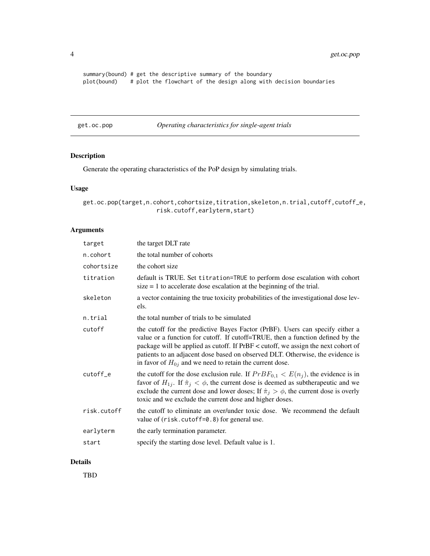<span id="page-3-0"></span>summary(bound) # get the descriptive summary of the boundary plot(bound) # plot the flowchart of the design along with decision boundaries

get.oc.pop *Operating characteristics for single-agent trials*

# Description

Generate the operating characteristics of the PoP design by simulating trials.

# Usage

get.oc.pop(target,n.cohort,cohortsize,titration,skeleton,n.trial,cutoff,cutoff\_e, risk.cutoff,earlyterm,start)

# Arguments

| target      | the target DLT rate                                                                                                                                                                                                                                                                                                                                                                                    |
|-------------|--------------------------------------------------------------------------------------------------------------------------------------------------------------------------------------------------------------------------------------------------------------------------------------------------------------------------------------------------------------------------------------------------------|
| n.cohort    | the total number of cohorts                                                                                                                                                                                                                                                                                                                                                                            |
| cohortsize  | the cohort size                                                                                                                                                                                                                                                                                                                                                                                        |
| titration   | default is TRUE. Set titration=TRUE to perform dose escalation with cohort<br>$size = 1$ to accelerate dose escalation at the beginning of the trial.                                                                                                                                                                                                                                                  |
| skeleton    | a vector containing the true toxicity probabilities of the investigational dose lev-<br>els.                                                                                                                                                                                                                                                                                                           |
| n.trial     | the total number of trials to be simulated                                                                                                                                                                                                                                                                                                                                                             |
| cutoff      | the cutoff for the predictive Bayes Factor (PrBF). Users can specify either a<br>value or a function for cutoff. If cutoff=TRUE, then a function defined by the<br>package will be applied as cutoff. If PrBF < cutoff, we assign the next cohort of<br>patients to an adjacent dose based on observed DLT. Otherwise, the evidence is<br>in favor of $H_{0j}$ and we need to retain the current dose. |
| cutoff_e    | the cutoff for the dose exclusion rule. If $PrBF_{0,1} < E(n_i)$ , the evidence is in<br>favor of $H_{1j}$ . If $\hat{\pi}_j < \phi$ , the current dose is deemed as subtherapeutic and we<br>exclude the current dose and lower doses; If $\hat{\pi}_j > \phi$ , the current dose is overly<br>toxic and we exclude the current dose and higher doses.                                                |
| risk.cutoff | the cutoff to eliminate an over/under toxic dose. We recommend the default<br>value of (risk.cutoff=0.8) for general use.                                                                                                                                                                                                                                                                              |
| earlyterm   | the early termination parameter.                                                                                                                                                                                                                                                                                                                                                                       |
| start       | specify the starting dose level. Default value is 1.                                                                                                                                                                                                                                                                                                                                                   |
|             |                                                                                                                                                                                                                                                                                                                                                                                                        |

## Details

TBD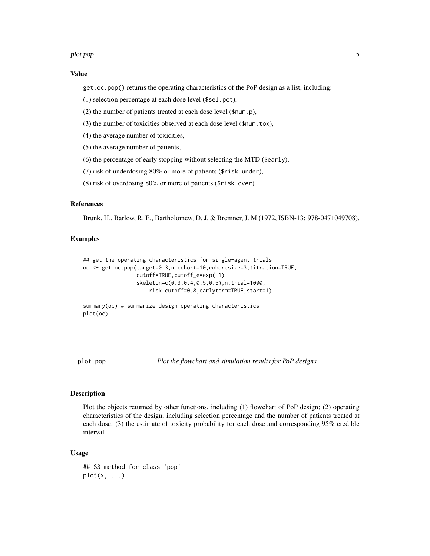#### <span id="page-4-0"></span>plot.pop 55 to 55 and 55 and 55 and 55 and 55 and 55 and 55 and 55 and 55 and 55 and 55 and 55 and 55 and 55 and 55 and 55 and 55 and 55 and 55 and 55 and 55 and 55 and 55 and 55 and 55 and 55 and 55 and 55 and 55 and 55 a

# Value

get.oc.pop() returns the operating characteristics of the PoP design as a list, including:

- (1) selection percentage at each dose level (\$sel.pct),
- (2) the number of patients treated at each dose level (\$num.p),
- (3) the number of toxicities observed at each dose level (\$num.tox),
- (4) the average number of toxicities,
- (5) the average number of patients,
- (6) the percentage of early stopping without selecting the MTD (\$early),
- (7) risk of underdosing 80% or more of patients (\$risk.under),
- (8) risk of overdosing 80% or more of patients (\$risk.over)

# References

Brunk, H., Barlow, R. E., Bartholomew, D. J. & Bremner, J. M (1972, ISBN-13: 978-0471049708).

## Examples

```
## get the operating characteristics for single-agent trials
oc <- get.oc.pop(target=0.3,n.cohort=10,cohortsize=3,titration=TRUE,
                 cutoff=TRUE,cutoff_e=exp(-1),
                 skeleton=c(0.3,0.4,0.5,0.6),n.trial=1000,
                     risk.cutoff=0.8,earlyterm=TRUE,start=1)
summary(oc) # summarize design operating characteristics
```
plot(oc)

plot.pop *Plot the flowchart and simulation results for PoP designs*

# **Description**

Plot the objects returned by other functions, including (1) flowchart of PoP design; (2) operating characteristics of the design, including selection percentage and the number of patients treated at each dose; (3) the estimate of toxicity probability for each dose and corresponding 95% credible interval

#### Usage

```
## S3 method for class 'pop'
plot(x, \ldots)
```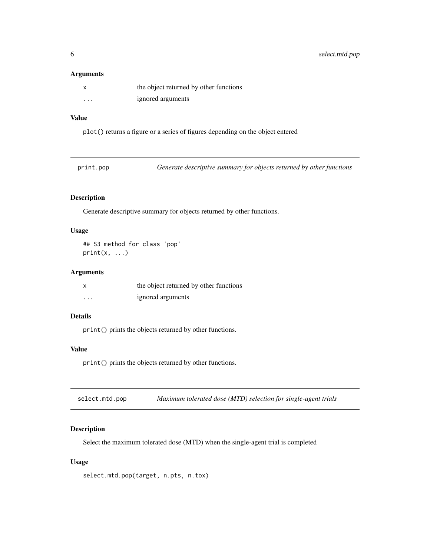# <span id="page-5-0"></span>Arguments

|                         | the object returned by other functions |
|-------------------------|----------------------------------------|
| $\cdot$ $\cdot$ $\cdot$ | ignored arguments                      |

# Value

plot() returns a figure or a series of figures depending on the object entered

| Generate descriptive summary for objects returned by other functions | print.pop |  |  |  |
|----------------------------------------------------------------------|-----------|--|--|--|
|----------------------------------------------------------------------|-----------|--|--|--|

# Description

Generate descriptive summary for objects returned by other functions.

# Usage

## S3 method for class 'pop'  $print(x, \ldots)$ 

# Arguments

| X        | the object returned by other functions |
|----------|----------------------------------------|
| $\cdots$ | ignored arguments                      |

# Details

print() prints the objects returned by other functions.

# Value

print() prints the objects returned by other functions.

| select.mtd.pop | Maximum tolerated dose (MTD) selection for single-agent trials |
|----------------|----------------------------------------------------------------|
|----------------|----------------------------------------------------------------|

# Description

Select the maximum tolerated dose (MTD) when the single-agent trial is completed

# Usage

select.mtd.pop(target, n.pts, n.tox)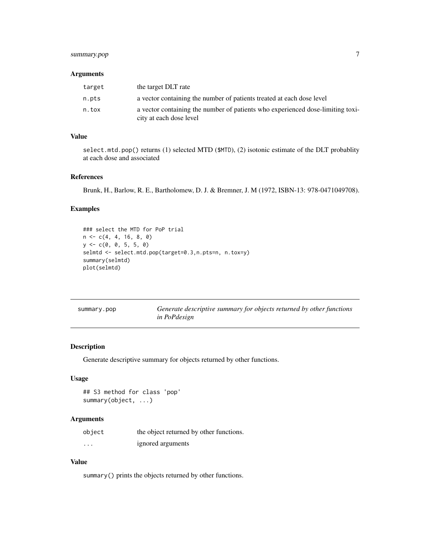# <span id="page-6-0"></span>summary.pop 7

# Arguments

| target | the target DLT rate                                                                                       |
|--------|-----------------------------------------------------------------------------------------------------------|
| n.pts  | a vector containing the number of patients treated at each dose level                                     |
| n.tox  | a vector containing the number of patients who experienced dose-limiting toxi-<br>city at each dose level |

# Value

select.mtd.pop() returns (1) selected MTD (\$MTD), (2) isotonic estimate of the DLT probablity at each dose and associated

# References

Brunk, H., Barlow, R. E., Bartholomew, D. J. & Bremner, J. M (1972, ISBN-13: 978-0471049708).

# Examples

```
### select the MTD for PoP trial
n \leq -c(4, 4, 16, 8, 0)y <- c(0, 0, 5, 5, 0)
selmtd <- select.mtd.pop(target=0.3,n.pts=n, n.tox=y)
summary(selmtd)
plot(selmtd)
```

| summary.pop | Generate descriptive summary for objects returned by other functions |
|-------------|----------------------------------------------------------------------|
|             | in PoPdesign                                                         |

# Description

Generate descriptive summary for objects returned by other functions.

# Usage

```
## S3 method for class 'pop'
summary(object, ...)
```
# Arguments

| object   | the object returned by other functions. |
|----------|-----------------------------------------|
| $\cdots$ | ignored arguments                       |

# Value

summary() prints the objects returned by other functions.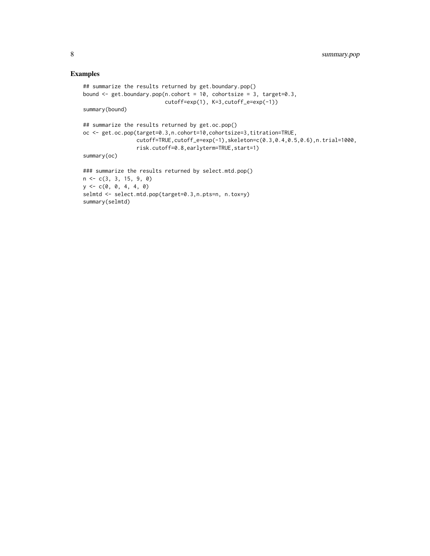# Examples

summary(selmtd)

```
## summarize the results returned by get.boundary.pop()
bound \leq get.boundary.pop(n.cohort = 10, cohortsize = 3, target=0.3,
                          cutoff=exp(1), K=3,cutoff_e=exp(-1))
summary(bound)
## summarize the results returned by get.oc.pop()
oc <- get.oc.pop(target=0.3,n.cohort=10,cohortsize=3,titration=TRUE,
                 cutoff=TRUE,cutoff_e=exp(-1),skeleton=c(0.3,0.4,0.5,0.6),n.trial=1000,
                 risk.cutoff=0.8,earlyterm=TRUE,start=1)
summary(oc)
### summarize the results returned by select.mtd.pop()
n <- c(3, 3, 15, 9, 0)
y \leq -c(0, 0, 4, 4, 0)selmtd <- select.mtd.pop(target=0.3,n.pts=n, n.tox=y)
```